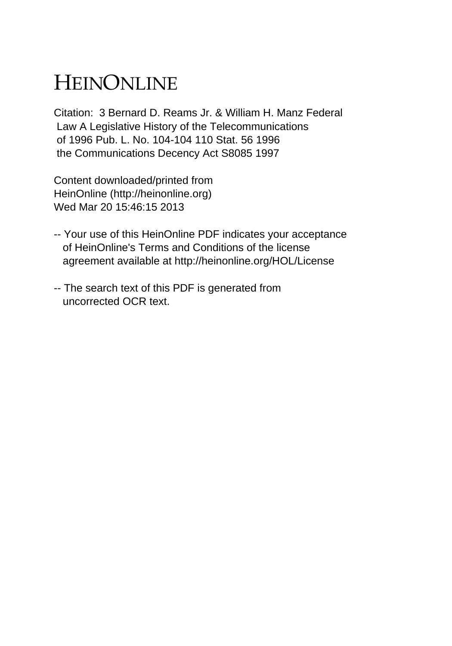## HEINONLINE

Citation: 3 Bernard D. Reams Jr. & William H. Manz Federal Law A Legislative History of the Telecommunications of 1996 Pub. L. No. 104-104 110 Stat. 56 1996 the Communications Decency Act S8085 1997

Content downloaded/printed from HeinOnline (http://heinonline.org) Wed Mar 20 15:46:15 2013

- -- Your use of this HeinOnline PDF indicates your acceptance of HeinOnline's Terms and Conditions of the license agreement available at http://heinonline.org/HOL/License
- -- The search text of this PDF is generated from uncorrected OCR text.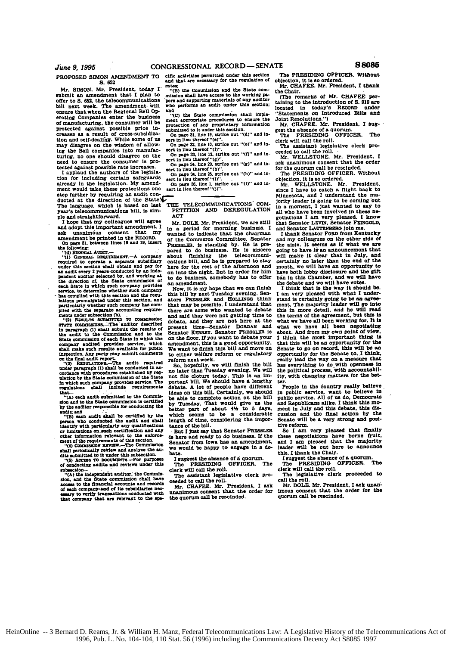Mr. SIMON. Mr. President, today I rates;<br>when commission and the State com-<br>submit an amendment that I plan to mission shall have access to the working pa-<br>offer to S. 652, the telecommunications pers and supporting mater erating Companies enter the ouslieses<br>of manufacturing, the consumer will be meat appropriate procedures to ensure the Join<br>protected against possible price in-<br>protected against possible price in-<br>submitted to it under th In the Bell companies into manufac-<br>Ing the Bell companies into manufac-<br>ing the Bell companies into manufac-<br>turing, no one should disagree on the<br>need to ensure the consumer is proing the Bell companies into manufacture on the On page 33, line 12, strike out "(f)" and in-<br>need to ensure the consumer is pro-<br>need to ensure the consumer is pro-<br>tected against possible rate increases. On page 34, line

Cled against possible rate increases.<br>I applaud the authors of the legisla- on page 34, line 25, strike out "(h)" and in- T<br>Cap including costain safecuards on page 34, line 25, strike out "(h)" and intion for including certain safeguards<br>already in the legislation. My amend-<br>ment would take these protections one on page 35, line i, strike out "(i)" and in-<br>ment would take these protections one sert in lieu thereof "(i) ment would take these protections one step further by requiring an audit conducted at the direction of the State.<br>The language, which is based on last THE TELECOMMUNICATIONS COM- <sup>101</sup><sup>101</sup> utceau at the unretulion of the scate: **The TELECOMMUNICATIONS** COM-<br>The language, which is based on last **PETITION** AND DEREGULATION<br>whe and straightforward. ple and straightforward.<br>
I hope that my colleagues will agree

I hope that my colleagues will agree Mr. DOLE. Mr. President, we are still and adopt this important amendment. I  $_{\text{in}}$  a period for morning business. I

ty variation application and pay for here of the results of the distribution of the separate space and modern than the separate space and modern than the set of the affect on an audit every 3 years conducted by an inde- on

the wealth company provides service. The<br> **chat- bill. include** requirements<br>
that-<br>
"(A) each audit submitted to the Commis-

person who considered the summit single state of the bill.<br>
The initiations on such certification and any consideration of the bill.<br>
or limitations can such certification and any consider the state that Senator PRESSLER S

**"(4)** CoMMIsION RZVIXw-rh Commission **wo** "(6) COMMISSION NEVIEW and analyze the an-<br>hall periodically review and analyze the an-<br>dits submitted to it under this subsection. batch,<br>"(5) ACCESS TO DOCUMENTS.-For purposes I suggest the absence of a quorum.

**of a summer of a tunner can suppose the audit states of a quorum.**<br> **of ondered is a state of a state of a property of a state of a quorum**<br> **of onder this and reviews under this The PRESIDING OFFICER.** The<br>
subsection—<br>

San. and the State commission shall have **cented to call the roll.** Can the State Commission shall have **celed to call the roll.** Cal access to the financial accounte and records **Ceeded** to call the roll. of each compacrand of **Its** suebidiarise nec- **Mr. CHAFEE. Mr.** President. **I ask**

PROPOSED SIMON AMENDMENT TO cific activities permitted under this section **T1**<br>
8. 652<br>
and their

and a period for morning business. I wanted to indicate that the chairman east unanimous consent that my wanted to indicate that the chairman I ask unanimous consent that my wanted to indicate that the chairman I amendment be printed in the RECORD. of the Commerce Committee, Senator and On page THESSILER, IS SCRIMING ON THE BLUE TO DEFINE THE STATE OF STATE SECTION AND THE ISSUE TO DETERMINE THE ISSUE OF SINCERE GOING THE ISSUE OF SINCERE GOING THE ISSUE OF SINCERE GOING THE ISSUE OF SINCERE SCRIMING THE SINCERE **Thesenter**, is standing by. He is pre-<br>pared to do business. He is sincere about finishing the telecommuni-<br>cations bill, and he is prepared to stay

puled with the separate accounting require-<br>there are some who wanted to debate this<br>puled with the separate accounting require-<br>there are some who wanted to debate this<br>"(2) RESULTS SURFITED TO columns and column deald th

regulation include regulation of the cloture today. This is an im-<br>portant bill. We should have a lengthy tendebate. A lot of people have different **P** ideas on this bill. Certainly, we should in **the state of the Commission of the Commission and to the State Commission of the bill pulled action on the bill pulled and to the State commission is certified <b>by Tuesday. That would give us the am** by the auditor responsible for conducting the by Tuesday. That would give us the and to the State commission is certified by Tuesday. That would give us the and Republicans alike. I think this most of shout 4<sup>14</sup> to 5 days andit; and<br>
"(B) each audit shall be certified by the which seems to be a considerable cu<br>
person who conducted the audit and shall length of time, considering the impor- *Se*<br>
person who conducted the audit and shall leng

is here and ready to do business. If the Senator from Iowa has an amendment,

ubsection-<br>
"(A) the independent auditor; the Commis-<br>
The assistant legislative clerk pro-

of each company and of its subsidiaries nechanized with unanimous consent that the order for im<br>essay to verify transactions conducted with unanimous consent that the order for im

The PRESIDING OFFICER. Without

ction. it **is** so ordered. **r.** CHAFEE. Mr. President. **I thank** Chair.

**'he** remarks of Mr. CHAFEE per-**ing** to the introduction of **S. 910** are ted in today's RECORD under atements **on** Introduced **Bills** and Joint Resolutions.")

**r.** CHAFEE. Mr. President. **I** sost the absence **of a** Quorum. e **PRESIDING** OFFICER. The **k** will call the roll.

**be** assistant legislative clerk pro-**ded** to call the roll. **"**

**r. WELLSTONE.** Mr. President. **I** unanimous consent that the order

unaminous consert that the order<br>he PRESIDING OFFICER. Without<br>cotion. it is so ordered.<br>r. WELLSTONE. Mr. President,

**Mr.** WELLSTONE. Mr. President, since I have to catch a flight back to inesota, and **I** understand the ma-ty leader **is** going to be coming out **a** moment, **I** just wanted to say to who have been involved in these **ne**lattons I am very pleased. **I** know **t** Senator LEVIN. Senator FEWGOLD. and Senator LAUTENBERG join me.

thank Senator FORD from Kentucky my colleagues **on** the other side **of** aisle. It seems **as if** what we are going to have is an announcement that ng to have is an announcement that<br>I make it clear that in July, and<br>tainly no later than the end of the **nth.** we will have **an** opportunity to **'e** both lobby disclosure and the **gift in** this Chamber. **and** we will have debate and we will have votes.

think that **is** the way it should be. **mn** very pleased with what **I** under-**od** is certainly going to **be** an agree-Ut. The majority leader will go into **a** in more detail, and he will read **e** terms of the agreement, but this **is** at we have **all** been working for. It **is at** we have **all** been negotiating **ut.** And from my own point **of** view. hink the most important thing **Is** at this will be **an** opportunity for the Senate to go on record, this will be an iortunity for the Senate **to, I** think. **ly** lead the way on **a** measure that everything to do with openness in political process, with accountabil- **,** with changing matters for the bet-

'eople in the Country **really** believe public service, want to believe in **bUc** service. **All** of us **do,** Democrats I Republicans alike. **I** think this mo**ut** in **July** and this debate, this dis-son and the final action *by* the Senate will be a very strong and posi**e** reform.

**1o** I am very pleased that finally **ese** negotiations have borne fruit. **I** am pleased that the majority **er** will be *out* here to announce this. I thank the Chair.

s. I thank the Chair.<br>**suggest the absence of a quorum.**<br>The **PRESIDING OFFICER.** The The PRESIDING clerk will call the roll.

The legislative clerk proceeded to Ine legislative clera proceeded to<br>|| the roll.<br>Mr. DOLE. Mr. President. I ask unan-

**ous** consent that the order for the orun call be rescinded.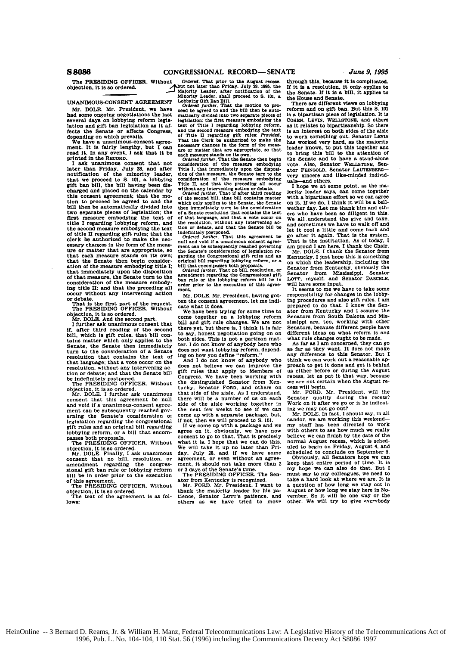**CONGRESSIONAL** RECORD-SENATE **S8086** *June* **9, 1995**

lation and gift ban legislation as it af- **text of Title I regarding lobbying reform.**<br>fects the Senate or affects Congress, and the second measure embodying the text

ment. It **Is** fairly lengthy, **but I can** necessary changes **In** the form of the **meas-**read It. In any event. **I** ask that it be *ore* or matter that **are** appropriate. **so** that

later than Friday, July 28, and after Title I, that immediately upon the disposition of the minority leader, tion of that measure, the Senate turn to the proceed to S. 101, a lobbying consideration of the measure embodying shorted and placed on the calendar by without any intervening action or detailed<br>this consent agreement; that the mo-<br>the second bill, that bill contains matter<br>tion to proceed be agreed to and the which only applies to th bill then be automatically divided into then immediately turn to the consideration two separate pieces of legislation; the of a Senate resolution that contains the text first measure embodying the text of of that larguage, two separate pieces of legislation; the of a Senate resolution that contains the text in measure embodying the text of of that language, and that a vote occur on thitle I regarding lobbying reform, and the resolution, with of title **II** regarding gift rules; that the indefinitely postponed.<br>clerk be authorized to make the nec-<br>clerk be authorized to make the nec-<br> $\frac{Ordened}{d}$  if a unanimous consent agree-In a second measure embodying the text with or details, and that use sense on the clerk be authorized to make the nec-<br>clerk be authorized to make the nec-<br>mil and void if a unanimous consent agree-<br>essary changes in the f ure or matter that are appropriate, **so** the Senate's consideration of legislation **re**that each measure stands on its own; that the Senate then begin considerthat the Senate then begin consider- original **bill** regarding lobbying reform, or a ation of the measure embodying title I; bill that encompasses both proposals.<br>that immediately upon the disposition Ordered further, That no bill, resolution, or that immediately upon the disposition of that measure, the Senate turn to the consideration of the measure embodying title **II;** and that the preceding all **meat.** occur without any intervening action Mr. DOLE. Mr. President, having got-

If after third reading of the second there yet, but there is, I think it is fair<br>bill, which is gift rules, that bill con-<br>to say, honest negotiation going on on<br>tains matter which only applies to the both sides. This is n Example in the Senate then immediately ter. I do not know of anybody here who Senate, the Senate then immediately ter. I do not know of anybody here who turn to the consideration of a Senate does not want lobbying reform, because the consideration of a Senate does not want lobbying reform. depend-<br>resolution that contains the text of ing on how you define "reform."<br>that language; that a vote occur on the hand I do not know of anybody who that language; that a vote occur on the **and I** do not know of any body who resolution, without any intervening ac- does not believe we can improve the tion or debate; and that the Senate bill gift rules that apply to Memb be indefinitely postponed.<br>The PRESIDING OFFICER. Without

and void if a unanimous-consent agree- side of the aisle working together in and void if a unanimous-consent agree- side of the aisle working together in ment can be subsequently reached gov- the next few weeks to see if w ment can be subsequently reached gov-<br>the next few weeks to see if we can<br>erning the Senate's consideration of come up with a separate package, but,<br>legifiation regarding the congressional if not, then we will proceed to S

consent that no bill, resolution, or agreement, or even without an agree-amendment regarding the congres- **ment,** it should not take more than 2 sineuument regarding the congress monted to the Senate's time.<br>Sional gift ban rule or lobbying reform or 3 days of the Senate's time. **bill be in order prior to the execution** The PRESIDING OFFICER. The Sen-<br>of this agreement.<br>The PRESIDING OFFICER. Without Mr. FORD. Mr. President, I want to of this agreement. ator from Kentucky **is** recognized. The PRESIDING OFFICER. Without Mr. FORD. Mr. President, **I** want to

The PRESIDING OFFICER. Without Order than Friday, July 28, 1995, the big order of the Southern and the southern and the model of the model of the model of the MMINOUS-CONSENT AGREEMENT Lobbying Gift Ban Bill. proceed to 8. depending on which prevails. **of Title H** regarding gift rules: *Provided.* We have a unanimous-consent agree-<br>
That the Clerk be authorized to make the

each measure stands on Its own. Printed in the RECORD.<br>printed in the RECORD.<br>I ask unanimous consent that not consideration of the measure embodying

one and the relationships the Congressional gift<br>ban rule or the lobbying reform bill be in<br>order prior to the execution of this agree-

or debate.<br>That is the request. **ten the consent agreement**, let me indi-<br>The PRESIDING OFFICER. Without cate what it does.<br>The PRESIDING OFFICER. Without cate what it does.

objection, It is **so** ordered. We have been trying for some time to Mr. **DOLE.** And the second **part.** come together on a **lobbying** reform We have been trying for some time to come together on a lobbying reform bill and gift rule changes. We are not there yet, but there is, I think it is fair

resoution, whole any method or debate; and that the Senate bill gift rules that apply to Members of<br>the indefinitely postponed. Congress. We have been working with<br>the Contagn with the Senate bill conduction of the With tucky. Senator FORD, and others on<br>that side of the alsle. As I understand. Mr. **DOLE. I** further ask unanimous that side of the aisle. **As I** understand, consent that this agreement **be** null there will be a number of us on each

higher three materials of the state of the state of the state in the state of the precise both proposals.<br>The PRESIDING OF The PRESIDING OF The PRESIDING OF THE PRESIDING OFFICER. Without what it is. I hope that we can do objection, it is so ordered. We will take it up no later than Fri-We will take it up no later than Friday, July 28, and if we have some agreement, or even without an agreement or the month is also ment, it should not take more than 2

objection, it is so ordered. thank the majority leader for his pa-<br>The text of the agreement is as fol-<br>tience, Senator LOTT's patience, and The text of the agreement is as fol- tience. Senator **LOTT's** patience, and **lows:** others as we have tried to move

through this, because it is complicated. If it is **a** resolution, it **only** applies to the Senate. If it is **a bill,** it applies to

the House and Senate. There am different views on lobbying reform and on gift ban. But this **S. 101** Is **a** bipartisan piece of legislation. It is **COHEN,** LEvIN. **WELLBTlONE,** and others as it relates to bipartisanship. So there **is** an interest on both sides of the aisle to work something out. Senator **LEvIN** has worked very hard, as the majority leader knows, to put this together and to bring this bill to the attention of **Cie** Senate and to have a stand-alone vote. **Also,** Senator **WELLSTONE,** Senator FEINGOLD, Senator LAUTENBERGvery sincere and like-minded individ-<br>uals-and others.

uals--and others. **I** hope we at some point, as the **ma**jority leader says, can come together with **a** bipartisan effort so we can agree on it. **If** we do, I think it will be a bellwether day. Let me thank him and others who have been so diligent in this.<br>We all.understand the give and take,<br>and sometimes we have to walk off and **let** it cool a little and come back and go after it again. That is the system. That is the institution. As of today, **I**

am proud I am here. I thank the Chair. Mr. DOLE. I thank the Senator from Kentucky. I just hope this is something on which the leadership, including the Senator from Kentucky, obviously the<br>Senator from Mississippi, Senator<br>LOTT, myself, and Senator DASCHLE.

will have some input.<br>It seems to me we have to take some responsibility for changes in the lobby-ing procedures and also gift rules. **I** am prepared to do that. **I** know the Sen-ator from Kentucky and I assume the Senators from South Dakota and Mississippi are, too, working with other<br>Senators, because different people have different ideas on what reform **is** and what rule changes ought to be made.<br>As far as I am concerned, they can go

as **far** as they want. It does not make **any** difference to this Senator. But I think we can work out a reasonable **ap**proach to get it done and get it behind us either before or during the August recess, let us put It that way, because we are not certain when the August **re**ces will begin. **Mr.** FORD. Mr. President, will the

Senator qualify during the recess<br>Work on it after we go or is he indicat ing we may not **go** out? Mr. **DOLE.** In fact. **I** should nay, in all

candor, we are working this weekend-my staff has been directed to work with others to see how much we really believe we can finish **by** the date of the normal August recess, which is sched-<br>uled to begin on Friday. August 4. and<br>scheduled to conclude on September 5.<br>Obviously, all Senators hope we can

keep that entire period of time. It is my hope we can also do that. **But I** must say to my colleagues, we need to take a hard look at where we are. It is **a** question of how long we stay out in August or how long we stay here in No- vember. So it will be one way or the other. We will try to give everybody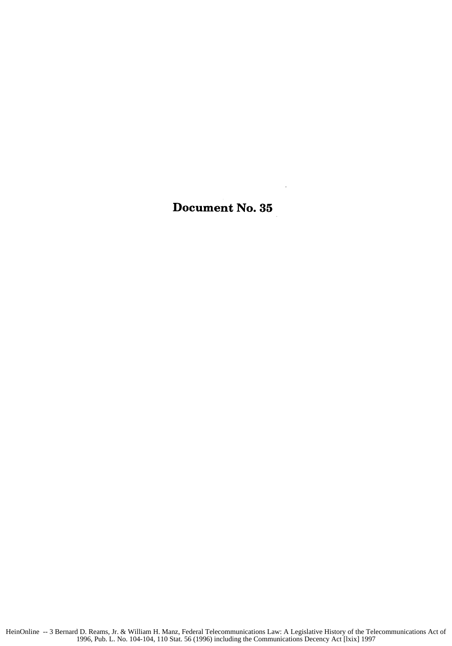Document No. **35**

 $\sim$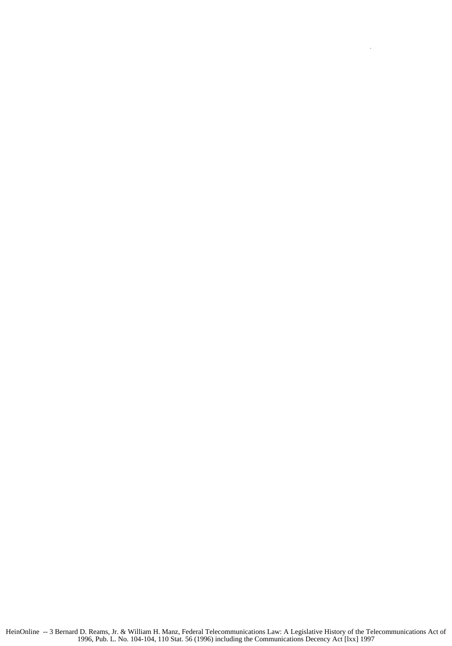HeinOnline -- 3 Bernard D. Reams, Jr. & William H. Manz, Federal Telecommunications Law: A Legislative History of the Telecommunications Act of 1996, Pub. L. No. 104-104, 110 Stat. 56 (1996) including the Communications Decency Act [lxx] 1997

 $\bar{z}$